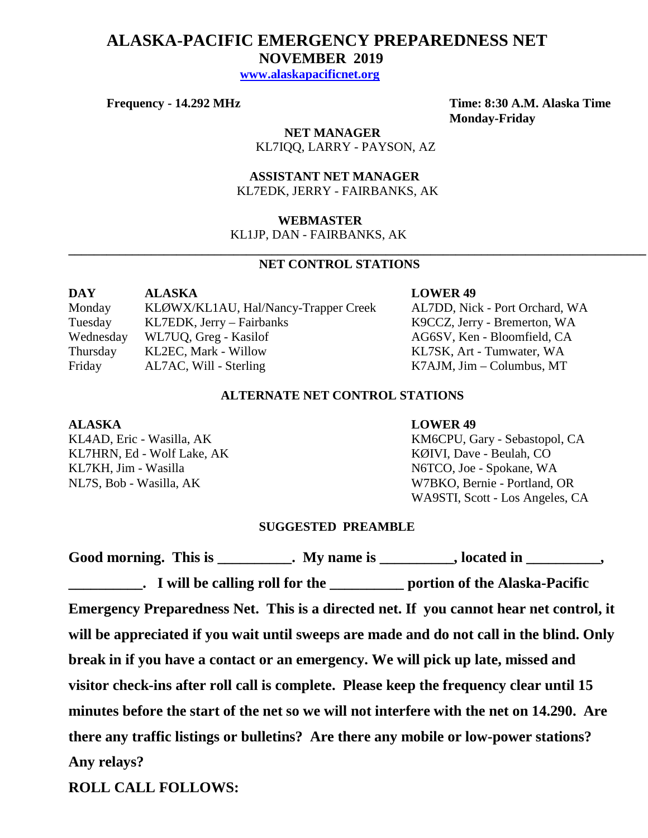# **ALASKA-PACIFIC EMERGENCY PREPAREDNESS NET NOVEMBER 2019**

 **[www.alaskapacificnet.org](http://www.alaskapacificnet.org/)**

**Frequency - 14.292 MHz Time: 8:30 A.M. Alaska Time Monday-Friday**

> **NET MANAGER** KL7IQQ, LARRY - PAYSON, AZ

 **ASSISTANT NET MANAGER**  KL7EDK, JERRY - FAIRBANKS, AK

### **WEBMASTER**

KL1JP, DAN - FAIRBANKS, AK

# **NET CONTROL STATIONS**

**\_\_\_\_\_\_\_\_\_\_\_\_\_\_\_\_\_\_\_\_\_\_\_\_\_\_\_\_\_\_\_\_\_\_\_\_\_\_\_\_\_\_\_\_\_\_\_\_\_\_\_\_\_\_\_\_\_\_\_\_\_\_\_\_\_\_\_\_\_\_\_\_\_\_\_\_\_\_\_\_\_\_\_\_\_\_\_\_\_\_\_**

| DAY       | <b>ALASKA</b>                        |
|-----------|--------------------------------------|
| Monday    | KLØWX/KL1AU, Hal/Nancy-Trapper Creek |
| Tuesday   | KL7EDK, Jerry - Fairbanks            |
| Wednesday | WL7UQ, Greg - Kasilof                |
| Thursday  | KL2EC, Mark - Willow                 |
| Friday    | AL7AC, Will - Sterling               |

### **LOWER 49**

k AL7DD, Nick - Port Orchard, WA K9CCZ, Jerry - Bremerton, WA AG6SV, Ken - Bloomfield, CA KL7SK, Art - Tumwater, WA K7AJM, Jim – Columbus, MT

# **ALTERNATE NET CONTROL STATIONS**

KL7HRN, Ed - Wolf Lake, AK KØIVI, Dave - Beulah, CO KL7KH, Jim - Wasilla N6TCO, Joe - Spokane, WA

#### **ALASKA LOWER 49**

KL4AD, Eric - Wasilla, AK KM6CPU, Gary - Sebastopol, CA NL7S, Bob - Wasilla, AK W7BKO, Bernie - Portland, OR WA9STI, Scott - Los Angeles, CA

## **SUGGESTED PREAMBLE**

|             | Good morning. This is ___________. My name is __________, located in _________,                    |
|-------------|----------------------------------------------------------------------------------------------------|
|             | <b>EXAMPLE 1.1 I</b> will be calling roll for the <u>example and portion</u> of the Alaska-Pacific |
|             | Emergency Preparedness Net. This is a directed net. If you cannot hear net control, it             |
|             | will be appreciated if you wait until sweeps are made and do not call in the blind. Only           |
|             | break in if you have a contact or an emergency. We will pick up late, missed and                   |
|             | visitor check-ins after roll call is complete. Please keep the frequency clear until 15            |
|             | minutes before the start of the net so we will not interfere with the net on 14.290. Are           |
|             | there any traffic listings or bulletins? Are there any mobile or low-power stations?               |
| Any relays? |                                                                                                    |
|             |                                                                                                    |

**ROLL CALL FOLLOWS:**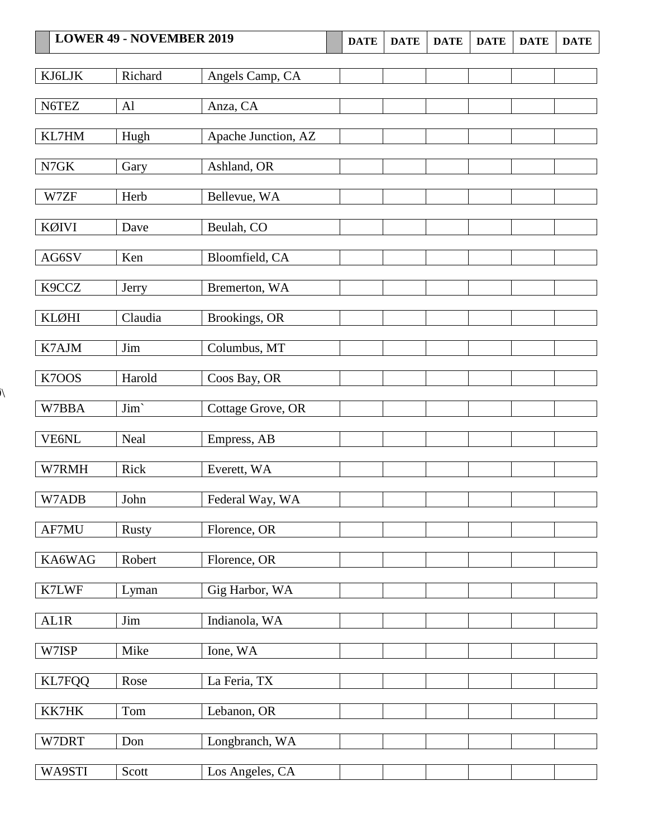|               | <b>LOWER 49 - NOVEMBER 2019</b> |                     | <b>DATE</b> | <b>DATE</b> | <b>DATE</b> | <b>DATE</b> | <b>DATE</b> | <b>DATE</b> |
|---------------|---------------------------------|---------------------|-------------|-------------|-------------|-------------|-------------|-------------|
| KJ6LJK        | Richard                         | Angels Camp, CA     |             |             |             |             |             |             |
| N6TEZ         | AI                              | Anza, CA            |             |             |             |             |             |             |
| KL7HM         | Hugh                            | Apache Junction, AZ |             |             |             |             |             |             |
| N7GK          | Gary                            | Ashland, OR         |             |             |             |             |             |             |
| W7ZF          | Herb                            | Bellevue, WA        |             |             |             |             |             |             |
| KØIVI         | Dave                            | Beulah, CO          |             |             |             |             |             |             |
| AG6SV         | Ken                             | Bloomfield, CA      |             |             |             |             |             |             |
| K9CCZ         | Jerry                           | Bremerton, WA       |             |             |             |             |             |             |
| <b>KLØHI</b>  | Claudia                         | Brookings, OR       |             |             |             |             |             |             |
| K7AJM         | Jim                             | Columbus, MT        |             |             |             |             |             |             |
| K7OOS         | Harold                          | Coos Bay, OR        |             |             |             |             |             |             |
| W7BBA         | Jim'                            | Cottage Grove, OR   |             |             |             |             |             |             |
| VE6NL         | Neal                            | Empress, AB         |             |             |             |             |             |             |
| W7RMH         | Rick                            | Everett, WA         |             |             |             |             |             |             |
| W7ADB         | John                            | Federal Way, WA     |             |             |             |             |             |             |
| AF7MU         | <b>Rusty</b>                    | Florence, OR        |             |             |             |             |             |             |
| KA6WAG        | Robert                          | Florence, OR        |             |             |             |             |             |             |
| K7LWF         | Lyman                           | Gig Harbor, WA      |             |             |             |             |             |             |
| AL1R          | Jim                             | Indianola, WA       |             |             |             |             |             |             |
| W7ISP         | Mike                            | Ione, WA            |             |             |             |             |             |             |
| <b>KL7FQQ</b> | Rose                            | La Feria, TX        |             |             |             |             |             |             |
| KK7HK         | Tom                             | Lebanon, OR         |             |             |             |             |             |             |
| W7DRT         | Don                             | Longbranch, WA      |             |             |             |             |             |             |
| WA9STI        | Scott                           | Los Angeles, CA     |             |             |             |             |             |             |

 $\lambda$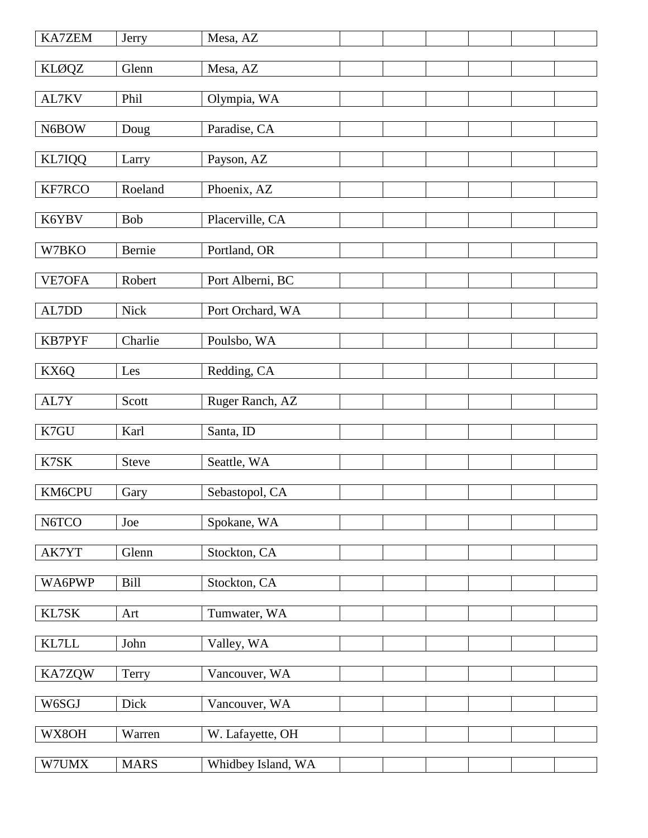| KA7ZEM        | Jerry        | Mesa, AZ           |  |  |  |
|---------------|--------------|--------------------|--|--|--|
| <b>KLØQZ</b>  | Glenn        | Mesa, AZ           |  |  |  |
| AL7KV         | Phil         | Olympia, WA        |  |  |  |
| N6BOW         | Doug         | Paradise, CA       |  |  |  |
|               |              |                    |  |  |  |
| KL7IQQ        | Larry        | Payson, AZ         |  |  |  |
| KF7RCO        | Roeland      | Phoenix, AZ        |  |  |  |
| K6YBV         | Bob          | Placerville, CA    |  |  |  |
| W7BKO         | Bernie       | Portland, OR       |  |  |  |
| VE7OFA        | Robert       | Port Alberni, BC   |  |  |  |
|               |              |                    |  |  |  |
| AL7DD         | Nick         | Port Orchard, WA   |  |  |  |
| <b>KB7PYF</b> | Charlie      | Poulsbo, WA        |  |  |  |
| KX6Q          | Les          | Redding, CA        |  |  |  |
| AL7Y          | Scott        | Ruger Ranch, AZ    |  |  |  |
|               |              |                    |  |  |  |
| K7GU          | Karl         | Santa, ID          |  |  |  |
| K7SK          | <b>Steve</b> | Seattle, WA        |  |  |  |
| KM6CPU        | Gary         | Sebastopol, CA     |  |  |  |
| N6TCO         | Joe          | Spokane, WA        |  |  |  |
| AK7YT         | Glenn        | Stockton, CA       |  |  |  |
| WA6PWP        | <b>Bill</b>  |                    |  |  |  |
|               |              | Stockton, CA       |  |  |  |
| KL7SK         | Art          | Tumwater, WA       |  |  |  |
| KL7LL         | John         | Valley, WA         |  |  |  |
| KA7ZQW        | Terry        | Vancouver, WA      |  |  |  |
| W6SGJ         | Dick         | Vancouver, WA      |  |  |  |
| WX8OH         | Warren       | W. Lafayette, OH   |  |  |  |
| W7UMX         | <b>MARS</b>  | Whidbey Island, WA |  |  |  |
|               |              |                    |  |  |  |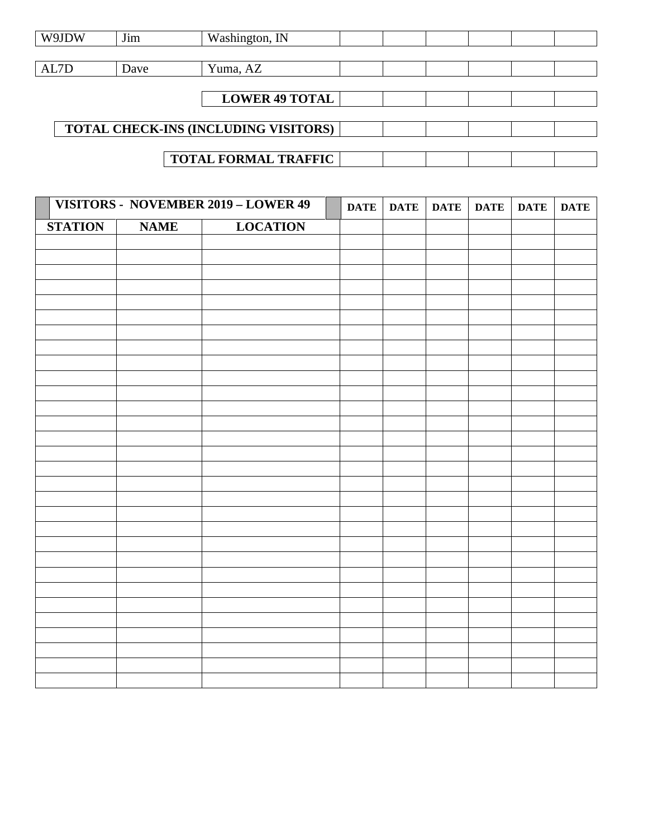| W9JDW | Jim  | Washington, IN                       |  |  |  |
|-------|------|--------------------------------------|--|--|--|
|       |      |                                      |  |  |  |
| AL7D  | Dave | Yuma, AZ                             |  |  |  |
|       |      |                                      |  |  |  |
|       |      | <b>LOWER 49 TOTAL</b>                |  |  |  |
|       |      |                                      |  |  |  |
|       |      | TOTAL CHECK-INS (INCLUDING VISITORS) |  |  |  |
|       |      |                                      |  |  |  |
|       |      | <b>TOTAL FORMAL TRAFFIC</b>          |  |  |  |

|                |             | VISITORS - NOVEMBER 2019 - LOWER 49 | <b>DATE</b> | <b>DATE</b> | <b>DATE</b> | <b>DATE</b> | <b>DATE</b> | <b>DATE</b> |
|----------------|-------------|-------------------------------------|-------------|-------------|-------------|-------------|-------------|-------------|
| <b>STATION</b> | <b>NAME</b> | <b>LOCATION</b>                     |             |             |             |             |             |             |
|                |             |                                     |             |             |             |             |             |             |
|                |             |                                     |             |             |             |             |             |             |
|                |             |                                     |             |             |             |             |             |             |
|                |             |                                     |             |             |             |             |             |             |
|                |             |                                     |             |             |             |             |             |             |
|                |             |                                     |             |             |             |             |             |             |
|                |             |                                     |             |             |             |             |             |             |
|                |             |                                     |             |             |             |             |             |             |
|                |             |                                     |             |             |             |             |             |             |
|                |             |                                     |             |             |             |             |             |             |
|                |             |                                     |             |             |             |             |             |             |
|                |             |                                     |             |             |             |             |             |             |
|                |             |                                     |             |             |             |             |             |             |
|                |             |                                     |             |             |             |             |             |             |
|                |             |                                     |             |             |             |             |             |             |
|                |             |                                     |             |             |             |             |             |             |
|                |             |                                     |             |             |             |             |             |             |
|                |             |                                     |             |             |             |             |             |             |
|                |             |                                     |             |             |             |             |             |             |
|                |             |                                     |             |             |             |             |             |             |
|                |             |                                     |             |             |             |             |             |             |
|                |             |                                     |             |             |             |             |             |             |
|                |             |                                     |             |             |             |             |             |             |
|                |             |                                     |             |             |             |             |             |             |
|                |             |                                     |             |             |             |             |             |             |
|                |             |                                     |             |             |             |             |             |             |
|                |             |                                     |             |             |             |             |             |             |
|                |             |                                     |             |             |             |             |             |             |
|                |             |                                     |             |             |             |             |             |             |
|                |             |                                     |             |             |             |             |             |             |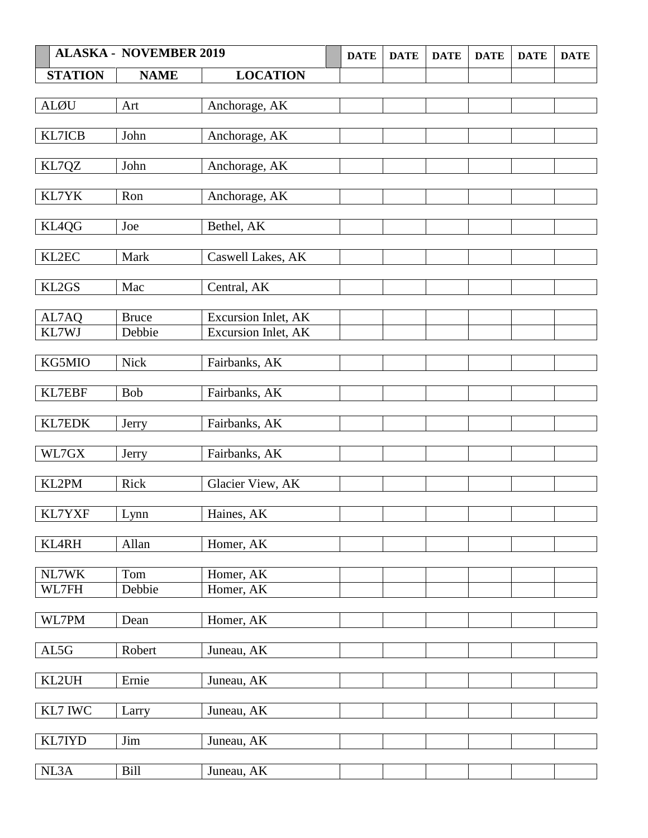|                | <b>ALASKA - NOVEMBER 2019</b> |                     | <b>DATE</b> | <b>DATE</b> | <b>DATE</b> | <b>DATE</b> | <b>DATE</b> | <b>DATE</b> |
|----------------|-------------------------------|---------------------|-------------|-------------|-------------|-------------|-------------|-------------|
| <b>STATION</b> | <b>NAME</b>                   | <b>LOCATION</b>     |             |             |             |             |             |             |
|                |                               |                     |             |             |             |             |             |             |
| <b>ALØU</b>    | Art                           | Anchorage, AK       |             |             |             |             |             |             |
|                |                               |                     |             |             |             |             |             |             |
| KL7ICB         | John                          | Anchorage, AK       |             |             |             |             |             |             |
|                | John                          | Anchorage, AK       |             |             |             |             |             |             |
| KL7QZ          |                               |                     |             |             |             |             |             |             |
| KL7YK          | Ron                           | Anchorage, AK       |             |             |             |             |             |             |
|                |                               |                     |             |             |             |             |             |             |
| KL4QG          | Joe                           | Bethel, AK          |             |             |             |             |             |             |
|                |                               |                     |             |             |             |             |             |             |
| KL2EC          | Mark                          | Caswell Lakes, AK   |             |             |             |             |             |             |
|                |                               |                     |             |             |             |             |             |             |
| KL2GS          | Mac                           | Central, AK         |             |             |             |             |             |             |
| AL7AQ          | <b>Bruce</b>                  | Excursion Inlet, AK |             |             |             |             |             |             |
| KL7WJ          | Debbie                        | Excursion Inlet, AK |             |             |             |             |             |             |
|                |                               |                     |             |             |             |             |             |             |
| KG5MIO         | <b>Nick</b>                   | Fairbanks, AK       |             |             |             |             |             |             |
|                |                               |                     |             |             |             |             |             |             |
| <b>KL7EBF</b>  | <b>Bob</b>                    | Fairbanks, AK       |             |             |             |             |             |             |
|                |                               |                     |             |             |             |             |             |             |
| KL7EDK         | Jerry                         | Fairbanks, AK       |             |             |             |             |             |             |
|                |                               |                     |             |             |             |             |             |             |
| WL7GX          | Jerry                         | Fairbanks, AK       |             |             |             |             |             |             |
| KL2PM          | Rick                          | Glacier View, AK    |             |             |             |             |             |             |
|                |                               |                     |             |             |             |             |             |             |
| KL7YXF         | Lynn                          | Haines, AK          |             |             |             |             |             |             |
|                |                               |                     |             |             |             |             |             |             |
| <b>KL4RH</b>   | Allan                         | Homer, AK           |             |             |             |             |             |             |
|                |                               |                     |             |             |             |             |             |             |
| NL7WK          | Tom                           | Homer, AK           |             |             |             |             |             |             |
| WL7FH          | Debbie                        | Homer, AK           |             |             |             |             |             |             |
| WL7PM          | Dean                          | Homer, AK           |             |             |             |             |             |             |
|                |                               |                     |             |             |             |             |             |             |
| AL5G           | Robert                        | Juneau, AK          |             |             |             |             |             |             |
|                |                               |                     |             |             |             |             |             |             |
| KL2UH          | Ernie                         | Juneau, AK          |             |             |             |             |             |             |
|                |                               |                     |             |             |             |             |             |             |
| KL7 IWC        | Larry                         | Juneau, AK          |             |             |             |             |             |             |
|                |                               |                     |             |             |             |             |             |             |
| KL7IYD         | $\mathop{\text{Jim}}$         | Juneau, AK          |             |             |             |             |             |             |
| NL3A           |                               |                     |             |             |             |             |             |             |
|                | <b>Bill</b>                   | Juneau, AK          |             |             |             |             |             |             |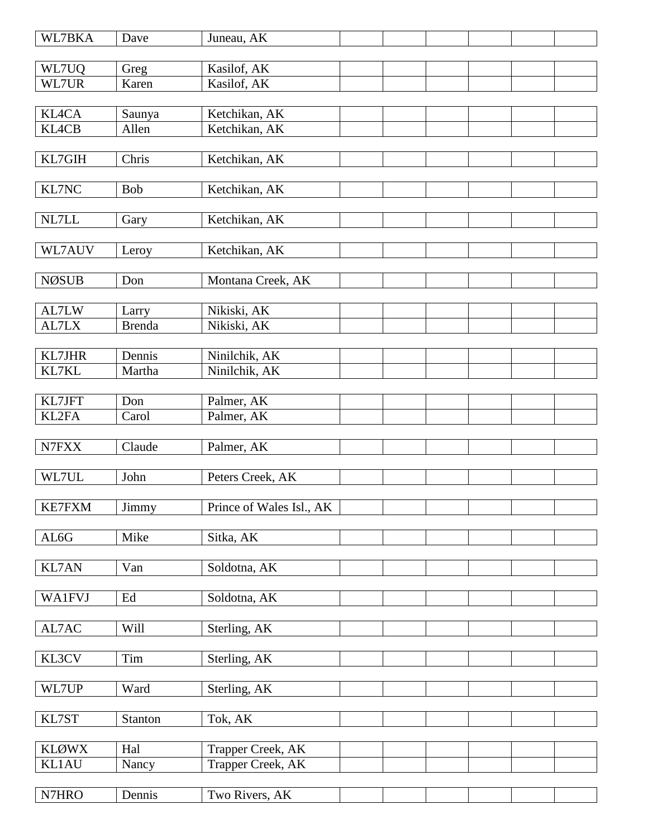| WL7BKA         | Dave          | Juneau, AK                             |  |  |  |
|----------------|---------------|----------------------------------------|--|--|--|
|                |               |                                        |  |  |  |
| WL7UQ<br>WL7UR | Greg<br>Karen | Kasilof, AK<br>Kasilof, AK             |  |  |  |
|                |               |                                        |  |  |  |
| <b>KL4CA</b>   | Saunya        | Ketchikan, AK                          |  |  |  |
| <b>KL4CB</b>   | Allen         | Ketchikan, AK                          |  |  |  |
|                |               |                                        |  |  |  |
| KL7GIH         | Chris         | Ketchikan, AK                          |  |  |  |
|                |               |                                        |  |  |  |
| KL7NC          | <b>Bob</b>    | Ketchikan, AK                          |  |  |  |
|                |               |                                        |  |  |  |
| NL7LL          | Gary          | Ketchikan, AK                          |  |  |  |
|                |               |                                        |  |  |  |
| WL7AUV         | Leroy         | Ketchikan, AK                          |  |  |  |
|                |               |                                        |  |  |  |
| <b>NØSUB</b>   | Don           | Montana Creek, AK                      |  |  |  |
| AL7LW          | Larry         | Nikiski, AK                            |  |  |  |
| AL7LX          | <b>Brenda</b> | Nikiski, AK                            |  |  |  |
|                |               |                                        |  |  |  |
| KL7JHR         | Dennis        | Ninilchik, AK                          |  |  |  |
| KL7KL          | Martha        | Ninilchik, AK                          |  |  |  |
|                |               |                                        |  |  |  |
| KL7JFT         | Don           | Palmer, AK                             |  |  |  |
| KL2FA          | Carol         | Palmer, AK                             |  |  |  |
|                |               |                                        |  |  |  |
| N7FXX          | Claude        | Palmer, AK                             |  |  |  |
|                |               |                                        |  |  |  |
| WL7UL          | John          | Peters Creek, AK                       |  |  |  |
|                |               |                                        |  |  |  |
| <b>KE7FXM</b>  | Jimmy         | Prince of Wales Isl., AK               |  |  |  |
| AL6G           | Mike          | Sitka, AK                              |  |  |  |
|                |               |                                        |  |  |  |
| <b>KL7AN</b>   | Van           | Soldotna, AK                           |  |  |  |
|                |               |                                        |  |  |  |
| <b>WA1FVJ</b>  | Ed            | Soldotna, AK                           |  |  |  |
|                |               |                                        |  |  |  |
| AL7AC          | Will          | Sterling, AK                           |  |  |  |
|                |               |                                        |  |  |  |
| KL3CV          | Tim           | Sterling, AK                           |  |  |  |
|                |               |                                        |  |  |  |
| WL7UP          | Ward          | Sterling, AK                           |  |  |  |
|                |               |                                        |  |  |  |
| KL7ST          | Stanton       | Tok, AK                                |  |  |  |
| <b>KLØWX</b>   | Hal           |                                        |  |  |  |
| <b>KL1AU</b>   |               | Trapper Creek, AK<br>Trapper Creek, AK |  |  |  |
|                | Nancy         |                                        |  |  |  |
| N7HRO          | Dennis        | Two Rivers, AK                         |  |  |  |
|                |               |                                        |  |  |  |